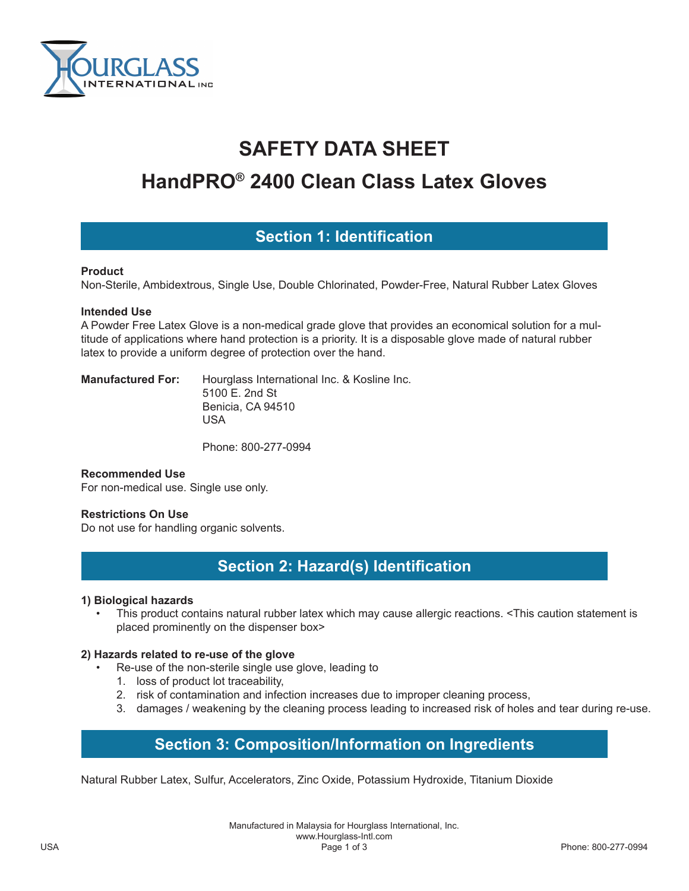

# **SAFETY DATA SHEET**

# **HandPRO® 2400 Clean Class Latex Gloves**

### **Section 1: Identification**

#### **Product**

Non-Sterile, Ambidextrous, Single Use, Double Chlorinated, Powder-Free, Natural Rubber Latex Gloves

#### **Intended Use**

A Powder Free Latex Glove is a non-medical grade glove that provides an economical solution for a multitude of applications where hand protection is a priority. It is a disposable glove made of natural rubber latex to provide a uniform degree of protection over the hand.

**Manufactured For:** Hourglass International Inc. & Kosline Inc. 5100 E. 2nd St Benicia, CA 94510 USA

Phone: 800-277-0994

#### **Recommended Use**

For non-medical use. Single use only.

#### **Restrictions On Use**

Do not use for handling organic solvents.

## **Section 2: Hazard(s) Identification**

#### **1) Biological hazards**

• This product contains natural rubber latex which may cause allergic reactions. <This caution statement is placed prominently on the dispenser box>

#### **2) Hazards related to re-use of the glove**

- Re-use of the non-sterile single use glove, leading to
	- 1. loss of product lot traceability,
	- 2. risk of contamination and infection increases due to improper cleaning process,
	- 3. damages / weakening by the cleaning process leading to increased risk of holes and tear during re-use.

# **Section 3: Composition/Information on Ingredients**

Natural Rubber Latex, Sulfur, Accelerators, Zinc Oxide, Potassium Hydroxide, Titanium Dioxide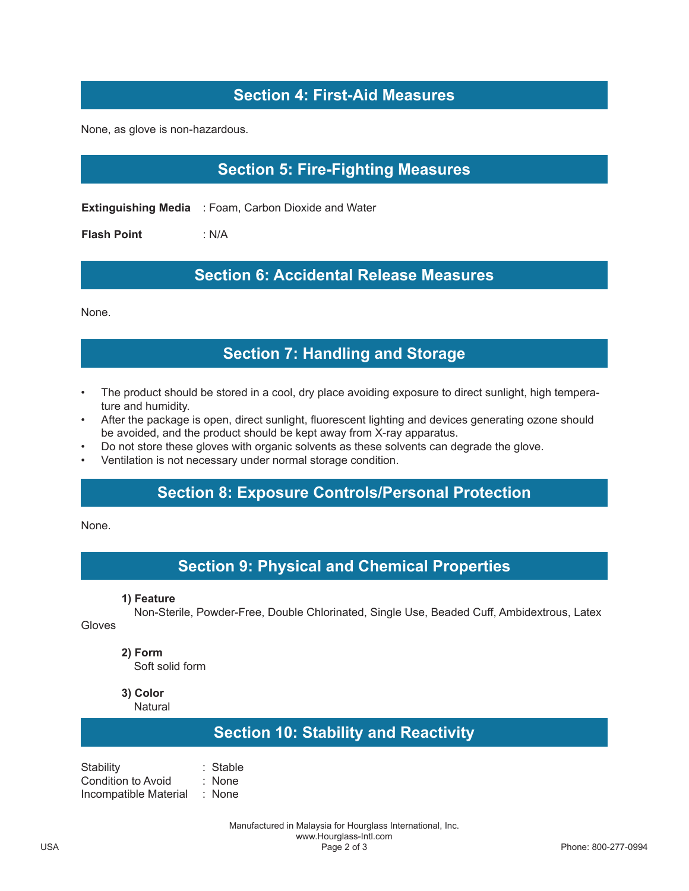# **Section 4: First-Aid Measures**

None, as glove is non-hazardous.

# **Section 5: Fire-Fighting Measures**

**Extinguishing Media** : Foam, Carbon Dioxide and Water

**Flash Point** : N/A

#### **Section 6: Accidental Release Measures**

None.

### **Section 7: Handling and Storage**

- The product should be stored in a cool, dry place avoiding exposure to direct sunlight, high temperature and humidity.
- After the package is open, direct sunlight, fluorescent lighting and devices generating ozone should be avoided, and the product should be kept away from X-ray apparatus.
- Do not store these gloves with organic solvents as these solvents can degrade the glove.
- Ventilation is not necessary under normal storage condition.

## **Section 8: Exposure Controls/Personal Protection**

None.

### **Section 9: Physical and Chemical Properties**

**1) Feature**

 Non-Sterile, Powder-Free, Double Chlorinated, Single Use, Beaded Cuff, Ambidextrous, Latex Gloves

**2) Form**

Soft solid form

**3) Color**

**Natural** 

### **Section 10: Stability and Reactivity**

Stability : Stable Condition to Avoid : None Incompatible Material : None

> Manufactured in Malaysia for Hourglass International, Inc. www.Hourglass-Intl.com<br>Page 2 of 3